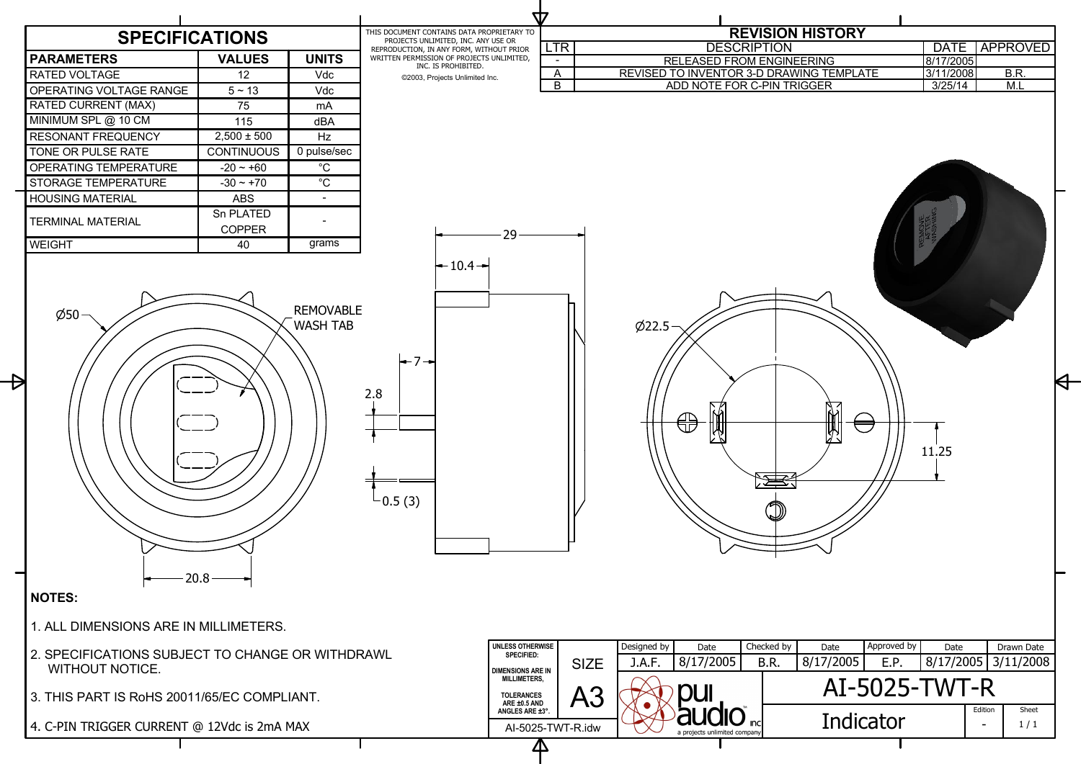

| <b>DESCRIPTION</b><br><b>RELEASED FROM ENGINEERING</b><br>REVISED TO INVENTOR 3-D DRAWING TEMPLATE<br>ADD NOTE FOR C-PIN TRIGGER | <b>REVISION HISTORY</b>                               | <b>DATE</b><br>8/17/2005<br>3/11/2008<br>3/25/14 | <b>APPROVED</b><br>B.R.<br>M.L |  |
|----------------------------------------------------------------------------------------------------------------------------------|-------------------------------------------------------|--------------------------------------------------|--------------------------------|--|
| $\phi$ 22.5<br>ÌЙ<br>Designed by<br>Date                                                                                         | $\sum_{i=1}^{N}$<br>Approved by<br>Checked by<br>Date | 11.25<br>Date                                    | Drawn Date                     |  |
| 8/17/2005<br>J.A.F.                                                                                                              | 8/17/2005<br>B.R.<br>E.P.                             | 8/17/2005                                        | 3/11/2008                      |  |
|                                                                                                                                  | AI-5025-TWT-R<br>Edition<br>Sheet                     |                                                  |                                |  |
| <b>Inc</b><br>a projects unlimited company                                                                                       | Indicator                                             |                                                  | 1/1                            |  |